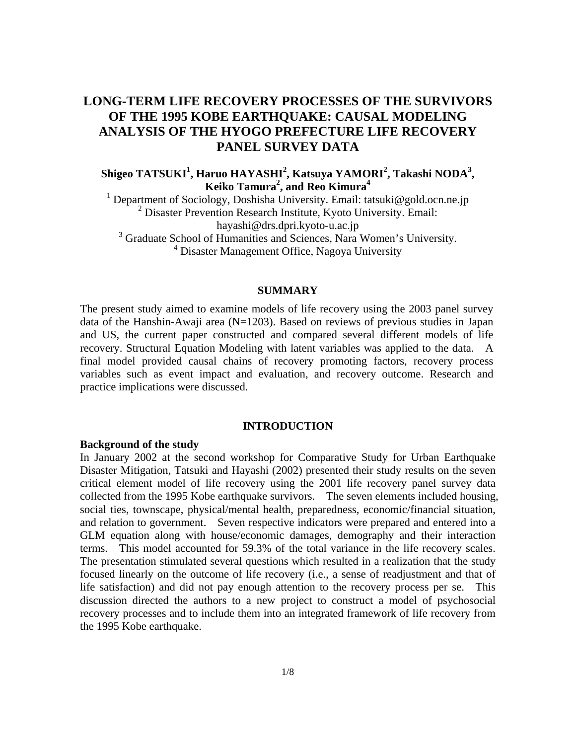# **LONG-TERM LIFE RECOVERY PROCESSES OF THE SURVIVORS OF THE 1995 KOBE EARTHQUAKE: CAUSAL MODELING ANALYSIS OF THE HYOGO PREFECTURE LIFE RECOVERY PANEL SURVEY DATA**

# **Shigeo TATSUKI<sup>1</sup> , Haruo HAYASHI2 , Katsuya YAMORI<sup>2</sup> , Takashi NODA3 , Keiko Tamura2 , and Reo Kimura<sup>4</sup>**

<sup>1</sup> Department of Sociology, Doshisha University. Email: tatsuki@gold.ocn.ne.jp <sup>2</sup> Disaster Prevention Research Institute, Kyoto University. Email: hayashi@drs.dpri.kyoto-u.ac.jp <sup>3</sup> Graduate School of Humanities and Sciences, Nara Women's University.

<sup>4</sup> Disaster Management Office, Nagoya University

# **SUMMARY**

The present study aimed to examine models of life recovery using the 2003 panel survey data of the Hanshin-Awaji area (N=1203). Based on reviews of previous studies in Japan and US, the current paper constructed and compared several different models of life recovery. Structural Equation Modeling with latent variables was applied to the data. A final model provided causal chains of recovery promoting factors, recovery process variables such as event impact and evaluation, and recovery outcome. Research and practice implications were discussed.

# **INTRODUCTION**

### **Background of the study**

In January 2002 at the second workshop for Comparative Study for Urban Earthquake Disaster Mitigation, Tatsuki and Hayashi (2002) presented their study results on the seven critical element model of life recovery using the 2001 life recovery panel survey data collected from the 1995 Kobe earthquake survivors. The seven elements included housing, social ties, townscape, physical/mental health, preparedness, economic/financial situation, and relation to government. Seven respective indicators were prepared and entered into a GLM equation along with house/economic damages, demography and their interaction terms. This model accounted for 59.3% of the total variance in the life recovery scales. The presentation stimulated several questions which resulted in a realization that the study focused linearly on the outcome of life recovery (i.e., a sense of readjustment and that of life satisfaction) and did not pay enough attention to the recovery process per se. This discussion directed the authors to a new project to construct a model of psychosocial recovery processes and to include them into an integrated framework of life recovery from the 1995 Kobe earthquake.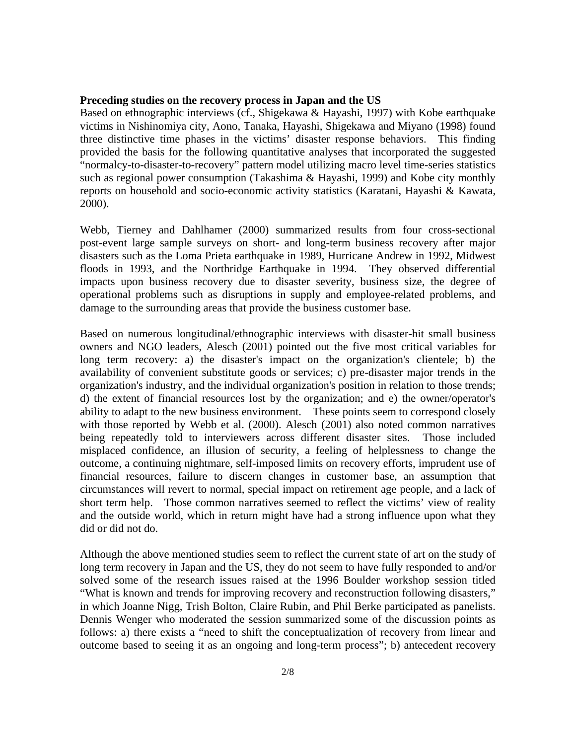#### **Preceding studies on the recovery process in Japan and the US**

Based on ethnographic interviews (cf., Shigekawa & Hayashi, 1997) with Kobe earthquake victims in Nishinomiya city, Aono, Tanaka, Hayashi, Shigekawa and Miyano (1998) found three distinctive time phases in the victims' disaster response behaviors. This finding provided the basis for the following quantitative analyses that incorporated the suggested "normalcy-to-disaster-to-recovery" pattern model utilizing macro level time-series statistics such as regional power consumption (Takashima & Hayashi, 1999) and Kobe city monthly reports on household and socio-economic activity statistics (Karatani, Hayashi & Kawata, 2000).

Webb, Tierney and Dahlhamer (2000) summarized results from four cross-sectional post-event large sample surveys on short- and long-term business recovery after major disasters such as the Loma Prieta earthquake in 1989, Hurricane Andrew in 1992, Midwest floods in 1993, and the Northridge Earthquake in 1994. They observed differential impacts upon business recovery due to disaster severity, business size, the degree of operational problems such as disruptions in supply and employee-related problems, and damage to the surrounding areas that provide the business customer base.

Based on numerous longitudinal/ethnographic interviews with disaster-hit small business owners and NGO leaders, Alesch (2001) pointed out the five most critical variables for long term recovery: a) the disaster's impact on the organization's clientele; b) the availability of convenient substitute goods or services; c) pre-disaster major trends in the organization's industry, and the individual organization's position in relation to those trends; d) the extent of financial resources lost by the organization; and e) the owner/operator's ability to adapt to the new business environment. These points seem to correspond closely with those reported by Webb et al. (2000). Alesch (2001) also noted common narratives being repeatedly told to interviewers across different disaster sites. Those included misplaced confidence, an illusion of security, a feeling of helplessness to change the outcome, a continuing nightmare, self-imposed limits on recovery efforts, imprudent use of financial resources, failure to discern changes in customer base, an assumption that circumstances will revert to normal, special impact on retirement age people, and a lack of short term help. Those common narratives seemed to reflect the victims' view of reality and the outside world, which in return might have had a strong influence upon what they did or did not do.

Although the above mentioned studies seem to reflect the current state of art on the study of long term recovery in Japan and the US, they do not seem to have fully responded to and/or solved some of the research issues raised at the 1996 Boulder workshop session titled "What is known and trends for improving recovery and reconstruction following disasters," in which Joanne Nigg, Trish Bolton, Claire Rubin, and Phil Berke participated as panelists. Dennis Wenger who moderated the session summarized some of the discussion points as follows: a) there exists a "need to shift the conceptualization of recovery from linear and outcome based to seeing it as an ongoing and long-term process"; b) antecedent recovery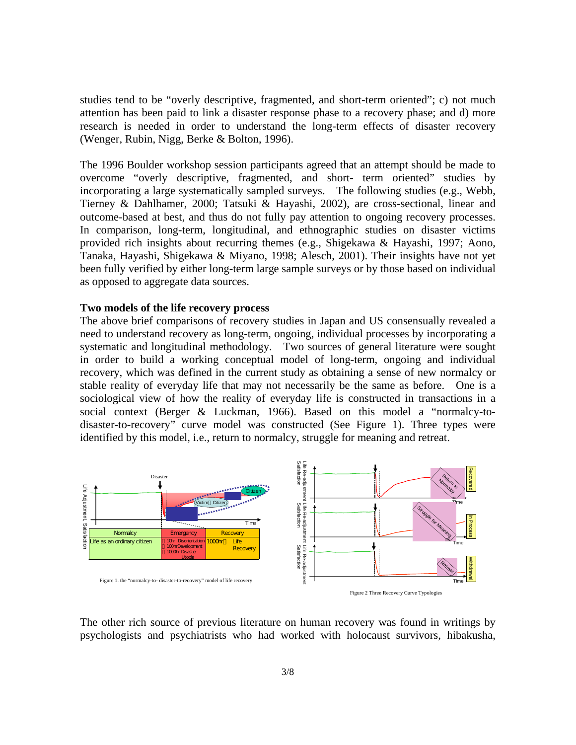studies tend to be "overly descriptive, fragmented, and short-term oriented"; c) not much attention has been paid to link a disaster response phase to a recovery phase; and d) more research is needed in order to understand the long-term effects of disaster recovery (Wenger, Rubin, Nigg, Berke & Bolton, 1996).

The 1996 Boulder workshop session participants agreed that an attempt should be made to overcome "overly descriptive, fragmented, and short- term oriented" studies by incorporating a large systematically sampled surveys. The following studies (e.g., Webb, Tierney & Dahlhamer, 2000; Tatsuki & Hayashi, 2002), are cross-sectional, linear and outcome-based at best, and thus do not fully pay attention to ongoing recovery processes. In comparison, long-term, longitudinal, and ethnographic studies on disaster victims provided rich insights about recurring themes (e.g., Shigekawa & Hayashi, 1997; Aono, Tanaka, Hayashi, Shigekawa & Miyano, 1998; Alesch, 2001). Their insights have not yet been fully verified by either long-term large sample surveys or by those based on individual as opposed to aggregate data sources.

# **Two models of the life recovery process**

The above brief comparisons of recovery studies in Japan and US consensually revealed a need to understand recovery as long-term, ongoing, individual processes by incorporating a systematic and longitudinal methodology. Two sources of general literature were sought in order to build a working conceptual model of long-term, ongoing and individual recovery, which was defined in the current study as obtaining a sense of new normalcy or stable reality of everyday life that may not necessarily be the same as before. One is a sociological view of how the reality of everyday life is constructed in transactions in a social context (Berger & Luckman, 1966). Based on this model a "normalcy-todisaster-to-recovery" curve model was constructed (See Figure 1). Three types were identified by this model, i.e., return to normalcy, struggle for meaning and retreat.



The other rich source of previous literature on human recovery was found in writings by psychologists and psychiatrists who had worked with holocaust survivors, hibakusha,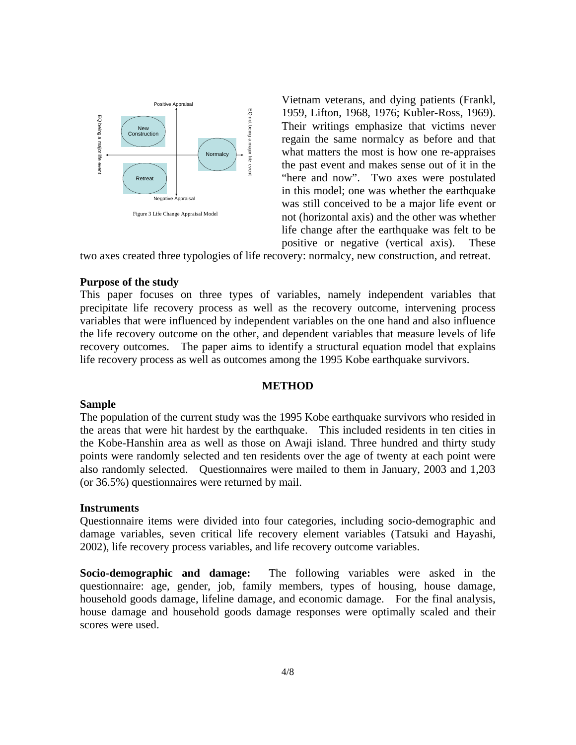

Vietnam veterans, and dying patients (Frankl, 1959, Lifton, 1968, 1976; Kubler-Ross, 1969). Their writings emphasize that victims never regain the same normalcy as before and that what matters the most is how one re-appraises the past event and makes sense out of it in the "here and now". Two axes were postulated in this model; one was whether the earthquake was still conceived to be a major life event or not (horizontal axis) and the other was whether life change after the earthquake was felt to be positive or negative (vertical axis). These

two axes created three typologies of life recovery: normalcy, new construction, and retreat.

# **Purpose of the study**

This paper focuses on three types of variables, namely independent variables that precipitate life recovery process as well as the recovery outcome, intervening process variables that were influenced by independent variables on the one hand and also influence the life recovery outcome on the other, and dependent variables that measure levels of life recovery outcomes. The paper aims to identify a structural equation model that explains life recovery process as well as outcomes among the 1995 Kobe earthquake survivors.

#### **METHOD**

#### **Sample**

The population of the current study was the 1995 Kobe earthquake survivors who resided in the areas that were hit hardest by the earthquake. This included residents in ten cities in the Kobe-Hanshin area as well as those on Awaji island. Three hundred and thirty study points were randomly selected and ten residents over the age of twenty at each point were also randomly selected. Questionnaires were mailed to them in January, 2003 and 1,203 (or 36.5%) questionnaires were returned by mail.

# **Instruments**

Questionnaire items were divided into four categories, including socio-demographic and damage variables, seven critical life recovery element variables (Tatsuki and Hayashi, 2002), life recovery process variables, and life recovery outcome variables.

**Socio-demographic and damage:** The following variables were asked in the questionnaire: age, gender, job, family members, types of housing, house damage, household goods damage, lifeline damage, and economic damage. For the final analysis, house damage and household goods damage responses were optimally scaled and their scores were used.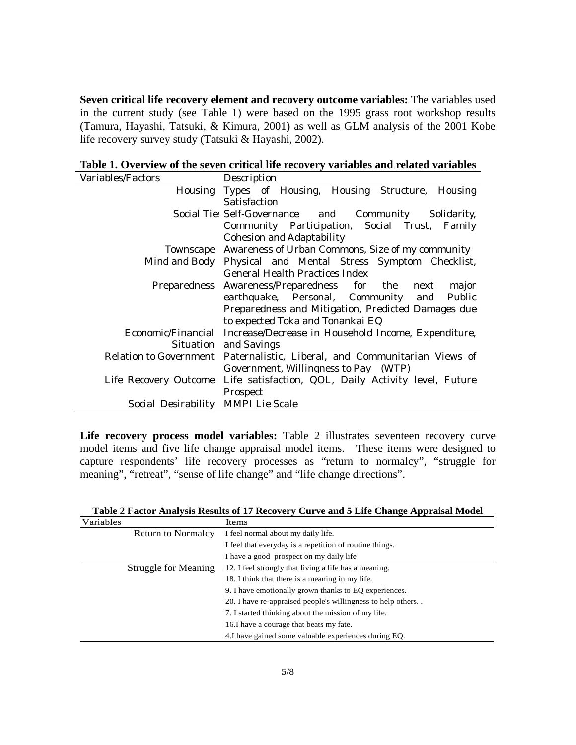**Seven critical life recovery element and recovery outcome variables:** The variables used in the current study (see Table 1) were based on the 1995 grass root workshop results (Tamura, Hayashi, Tatsuki, & Kimura, 2001) as well as GLM analysis of the 2001 Kobe life recovery survey study (Tatsuki & Hayashi, 2002).

| Table 1. Overview of the seven critical life recovery variables and related variables |
|---------------------------------------------------------------------------------------|
|---------------------------------------------------------------------------------------|

| Variables/Factors                  | Description                                                                |
|------------------------------------|----------------------------------------------------------------------------|
|                                    | Housing Types of Housing, Housing Structure, Housing                       |
|                                    | <b>Satisfaction</b>                                                        |
|                                    | Social Tie: Self-Governance and Community Solidarity,                      |
|                                    | Community Participation, Social Trust, Family                              |
|                                    | <b>Cohesion and Adaptability</b>                                           |
|                                    | Townscape Awareness of Urban Commons, Size of my community                 |
|                                    | Mind and Body Physical and Mental Stress Symptom Checklist,                |
|                                    | <b>General Health Practices Index</b>                                      |
|                                    | Preparedness Awareness/Preparedness for the next<br>major                  |
|                                    | earthquake, Personal, Community and<br>Public                              |
|                                    | Preparedness and Mitigation, Predicted Damages due                         |
|                                    | to expected Toka and Tonankai EQ                                           |
|                                    | Economic/Financial Increase/Decrease in Household Income, Expenditure,     |
|                                    | Situation and Savings                                                      |
|                                    | Relation to Government Paternalistic, Liberal, and Communitarian Views of  |
|                                    | Government, Willingness to Pay (WTP)                                       |
|                                    | Life Recovery Outcome Life satisfaction, QOL, Daily Activity level, Future |
|                                    | Prospect                                                                   |
| Social Desirability MMPI Lie Scale |                                                                            |

**Life recovery process model variables:** Table 2 illustrates seventeen recovery curve model items and five life change appraisal model items. These items were designed to capture respondents' life recovery processes as "return to normalcy", "struggle for meaning", "retreat", "sense of life change" and "life change directions".

**Table 2 Factor Analysis Results of 17 Recovery Curve and 5 Life Change Appraisal Model**

| Variables |                           | Items                                                       |
|-----------|---------------------------|-------------------------------------------------------------|
|           | <b>Return to Normalcy</b> | I feel normal about my daily life.                          |
|           |                           | I feel that everyday is a repetition of routine things.     |
|           |                           | I have a good prospect on my daily life                     |
|           | Struggle for Meaning      | 12. I feel strongly that living a life has a meaning.       |
|           |                           | 18. I think that there is a meaning in my life.             |
|           |                           | 9. I have emotionally grown thanks to EQ experiences.       |
|           |                           | 20. I have re-appraised people's willingness to help others |
|           |                           | 7. I started thinking about the mission of my life.         |
|           |                           | 16. I have a courage that beats my fate.                    |
|           |                           | 4. I have gained some valuable experiences during EQ.       |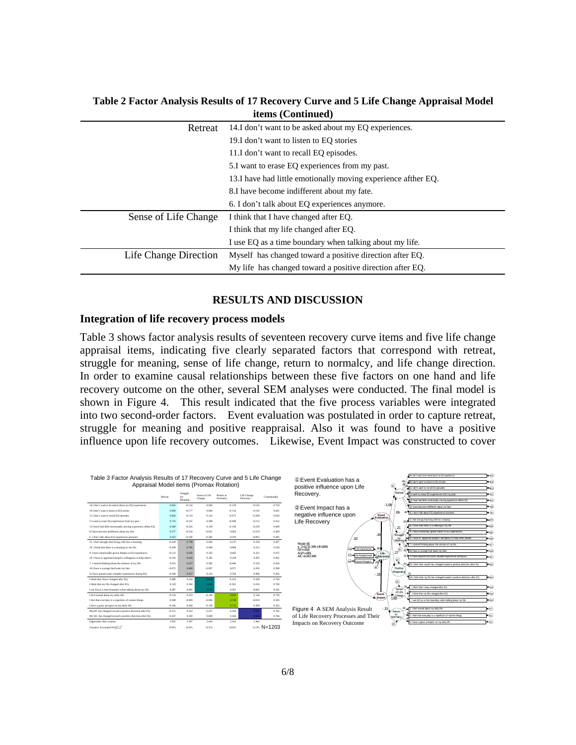| $\mathbf{ICIII}$ ) (Continued) |                                                                |  |
|--------------------------------|----------------------------------------------------------------|--|
| Retreat                        | 14.I don't want to be asked about my EQ experiences.           |  |
|                                | 19.I don't want to listen to EQ stories                        |  |
|                                | 11.I don't want to recall EQ episodes.                         |  |
|                                | 5.I want to erase EQ experiences from my past.                 |  |
|                                | 13. I have had little emotionally moving experience afther EQ. |  |
|                                | 8. I have become indifferent about my fate.                    |  |
|                                | 6. I don't talk about EQ experiences anymore.                  |  |
| Sense of Life Change           | I think that I have changed after EQ.                          |  |
|                                | I think that my life changed after EQ.                         |  |
|                                | I use EQ as a time boundary when talking about my life.        |  |
| Life Change Direction          | Myself has changed toward a positive direction after EQ.       |  |
|                                | My life has changed toward a positive direction after EQ.      |  |

**Table 2 Factor Analysis Results of 17 Recovery Curve and 5 Life Change Appraisal Model items (Continued)**

# **RESULTS AND DISCUSSION**

#### **Integration of life recovery process models**

Table 3 shows factor analysis results of seventeen recovery curve items and five life change appraisal items, indicating five clearly separated factors that correspond with retreat, struggle for meaning, sense of life change, return to normalcy, and life change direction. In order to examine causal relationships between these five factors on one hand and life recovery outcome on the other, several SEM analyses were conducted. The final model is shown in Figure 4. This result indicated that the five process variables were integrated into two second-order factors. Event evaluation was postulated in order to capture retreat, struggle for meaning and positive reappraisal. Also it was found to have a positive influence upon life recovery outcomes. Likewise, Event Impact was constructed to cover

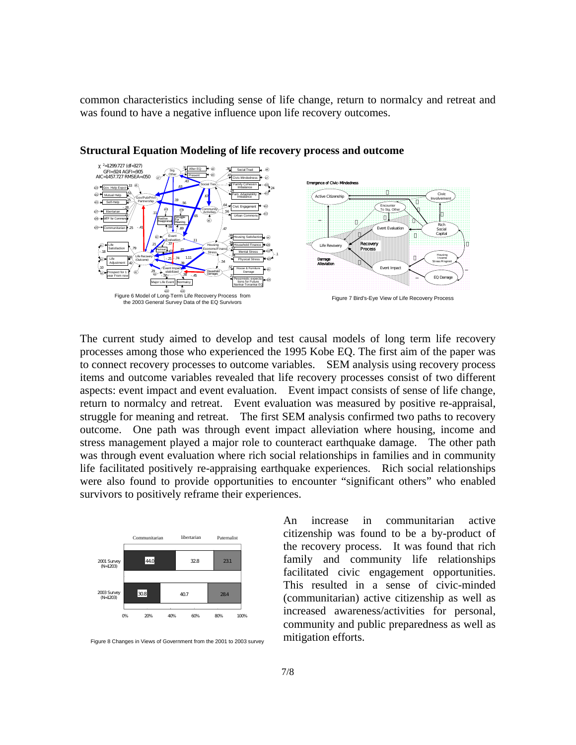common characteristics including sense of life change, return to normalcy and retreat and was found to have a negative influence upon life recovery outcomes.



**Structural Equation Modeling of life recovery process and outcome** 

The current study aimed to develop and test causal models of long term life recovery processes among those who experienced the 1995 Kobe EQ. The first aim of the paper was to connect recovery processes to outcome variables. SEM analysis using recovery process items and outcome variables revealed that life recovery processes consist of two different aspects: event impact and event evaluation. Event impact consists of sense of life change, return to normalcy and retreat. Event evaluation was measured by positive re-appraisal, struggle for meaning and retreat. The first SEM analysis confirmed two paths to recovery outcome. One path was through event impact alleviation where housing, income and stress management played a major role to counteract earthquake damage. The other path was through event evaluation where rich social relationships in families and in community life facilitated positively re-appraising earthquake experiences. Rich social relationships were also found to provide opportunities to encounter "significant others" who enabled survivors to positively reframe their experiences.



Figure 8 Changes in Views of Government from the 2001 to 2003 survey

An increase in communitarian active citizenship was found to be a by-product of the recovery process. It was found that rich family and community life relationships facilitated civic engagement opportunities. This resulted in a sense of civic-minded (communitarian) active citizenship as well as increased awareness/activities for personal, community and public preparedness as well as mitigation efforts.